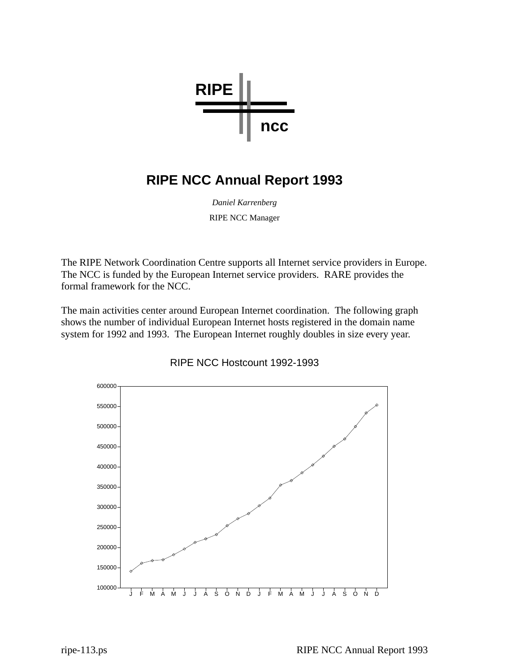

## **RIPE NCC Annual Report 1993**

*Daniel Karrenberg* RIPE NCC Manager

The RIPE Network Coordination Centre supports all Internet service providers in Europe. The NCC is funded by the European Internet service providers. RARE provides the formal framework for the NCC.

The main activities center around European Internet coordination. The following graph shows the number of individual European Internet hosts registered in the domain name system for 1992 and 1993. The European Internet roughly doubles in size every year.



## RIPE NCC Hostcount 1992-1993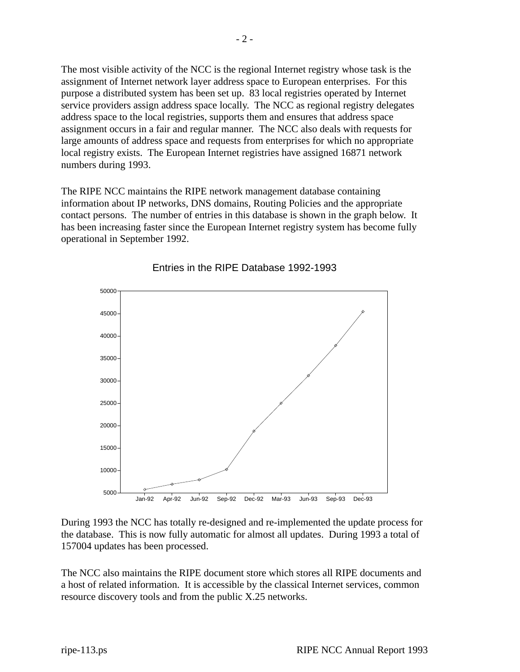The most visible activity of the NCC is the regional Internet registry whose task is the assignment of Internet network layer address space to European enterprises. For this purpose a distributed system has been set up. 83 local registries operated by Internet service providers assign address space locally. The NCC as regional registry delegates address space to the local registries, supports them and ensures that address space assignment occurs in a fair and regular manner. The NCC also deals with requests for large amounts of address space and requests from enterprises for which no appropriate local registry exists. The European Internet registries have assigned 16871 network numbers during 1993.

The RIPE NCC maintains the RIPE network management database containing information about IP networks, DNS domains, Routing Policies and the appropriate contact persons. The number of entries in this database is shown in the graph below. It has been increasing faster since the European Internet registry system has become fully operational in September 1992.



Entries in the RIPE Database 1992-1993

During 1993 the NCC has totally re-designed and re-implemented the update process for the database. This is now fully automatic for almost all updates. During 1993 a total of 157004 updates has been processed.

The NCC also maintains the RIPE document store which stores all RIPE documents and a host of related information. It is accessible by the classical Internet services, common resource discovery tools and from the public X.25 networks.